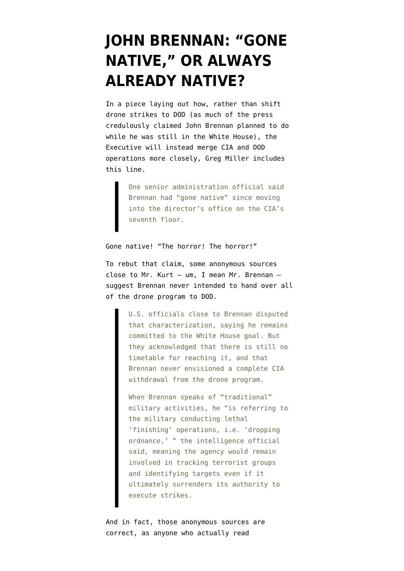## **[JOHN BRENNAN: "GONE](https://www.emptywheel.net/2013/11/25/john-brennan-gone-native-or-always-already-native/) [NATIVE," OR ALWAYS](https://www.emptywheel.net/2013/11/25/john-brennan-gone-native-or-always-already-native/) [ALREADY NATIVE?](https://www.emptywheel.net/2013/11/25/john-brennan-gone-native-or-always-already-native/)**

In [a piece](http://www.washingtonpost.com/world/national-security/cia-remains-behind-most-drone-strikes-despite-effort-to-shift-campaign-to-defense/2013/11/25/c0c07a86-5386-11e3-a7f0-b790929232e1_print.html) laying out how, rather than shift drone strikes to DOD (as much of the press credulously claimed John Brennan planned to do while he was still in the White House), the Executive will instead merge CIA and DOD operations more closely, Greg Miller includes this line.

> One senior administration official said Brennan had "gone native" since moving into the director's office on the CIA's seventh floor.

Gone native! "The horror! The horror!"

To rebut that claim, some anonymous sources close to Mr. Kurt — um, I mean Mr. Brennan suggest Brennan never intended to hand over all of the drone program to DOD.

> U.S. officials close to Brennan disputed that characterization, saying he remains committed to the White House goal. But they acknowledged that there is still no timetable for reaching it, and that Brennan never envisioned a complete CIA withdrawal from the drone program.

> When Brennan speaks of "traditional" military activities, he "is referring to the military conducting lethal 'finishing' operations, i.e. 'dropping ordnance,' " the intelligence official said, meaning the agency would remain involved in tracking terrorist groups and identifying targets even if it ultimately surrenders its authority to execute strikes.

And in fact, those anonymous sources are correct, as [anyone who actually read](http://www.emptywheel.net/2013/03/20/breaking-brennan-extends-no-rule-drones-for-2-years/)